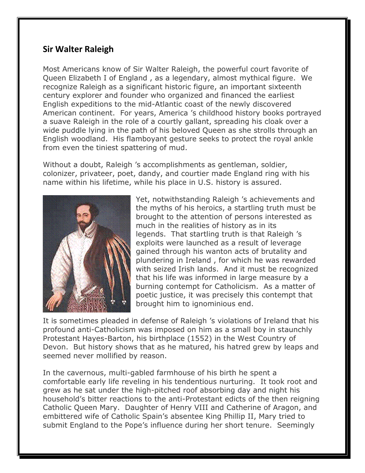## **Sir Walter Raleigh**

Most Americans know of Sir Walter Raleigh, the powerful court favorite of Queen Elizabeth I of England , as a legendary, almost mythical figure. We recognize Raleigh as a significant historic figure, an important sixteenth century explorer and founder who organized and financed the earliest English expeditions to the mid-Atlantic coast of the newly discovered American continent. For years, America 's childhood history books portrayed a suave Raleigh in the role of a courtly gallant, spreading his cloak over a wide puddle lying in the path of his beloved Queen as she strolls through an English woodland. His flamboyant gesture seeks to protect the royal ankle from even the tiniest spattering of mud.

Without a doubt, Raleigh 's accomplishments as gentleman, soldier, colonizer, privateer, poet, dandy, and courtier made England ring with his name within his lifetime, while his place in U.S. history is assured.



Yet, notwithstanding Raleigh 's achievements and the myths of his heroics, a startling truth must be brought to the attention of persons interested as much in the realities of history as in its legends. That startling truth is that Raleigh 's exploits were launched as a result of leverage gained through his wanton acts of brutality and plundering in Ireland , for which he was rewarded with seized Irish lands. And it must be recognized that his life was informed in large measure by a burning contempt for Catholicism. As a matter of poetic justice, it was precisely this contempt that brought him to ignominious end.

It is sometimes pleaded in defense of Raleigh 's violations of Ireland that his profound anti-Catholicism was imposed on him as a small boy in staunchly Protestant Hayes-Barton, his birthplace (1552) in the West Country of Devon. But history shows that as he matured, his hatred grew by leaps and seemed never mollified by reason.

In the cavernous, multi-gabled farmhouse of his birth he spent a comfortable early life reveling in his tendentious nurturing. It took root and grew as he sat under the high-pitched roof absorbing day and night his household's bitter reactions to the anti-Protestant edicts of the then reigning Catholic Queen Mary. Daughter of Henry VIII and Catherine of Aragon, and embittered wife of Catholic Spain's absentee King Phillip II, Mary tried to submit England to the Pope's influence during her short tenure. Seemingly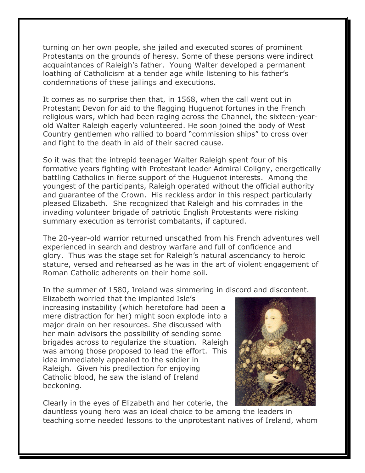turning on her own people, she jailed and executed scores of prominent Protestants on the grounds of heresy. Some of these persons were indirect acquaintances of Raleigh's father. Young Walter developed a permanent loathing of Catholicism at a tender age while listening to his father's condemnations of these jailings and executions.

It comes as no surprise then that, in 1568, when the call went out in Protestant Devon for aid to the flagging Huguenot fortunes in the French religious wars, which had been raging across the Channel, the sixteen-yearold Walter Raleigh eagerly volunteered. He soon joined the body of West Country gentlemen who rallied to board "commission ships" to cross over and fight to the death in aid of their sacred cause.

So it was that the intrepid teenager Walter Raleigh spent four of his formative years fighting with Protestant leader Admiral Coligny, energetically battling Catholics in fierce support of the Huguenot interests. Among the youngest of the participants, Raleigh operated without the official authority and guarantee of the Crown. His reckless ardor in this respect particularly pleased Elizabeth. She recognized that Raleigh and his comrades in the invading volunteer brigade of patriotic English Protestants were risking summary execution as terrorist combatants, if captured.

The 20-year-old warrior returned unscathed from his French adventures well experienced in search and destroy warfare and full of confidence and glory. Thus was the stage set for Raleigh's natural ascendancy to heroic stature, versed and rehearsed as he was in the art of violent engagement of Roman Catholic adherents on their home soil.

In the summer of 1580, Ireland was simmering in discord and discontent.

Elizabeth worried that the implanted Isle's increasing instability (which heretofore had been a mere distraction for her) might soon explode into a major drain on her resources. She discussed with her main advisors the possibility of sending some brigades across to regularize the situation. Raleigh was among those proposed to lead the effort. This idea immediately appealed to the soldier in Raleigh. Given his predilection for enjoying Catholic blood, he saw the island of Ireland beckoning.



Clearly in the eyes of Elizabeth and her coterie, the

dauntless young hero was an ideal choice to be among the leaders in teaching some needed lessons to the unprotestant natives of Ireland, whom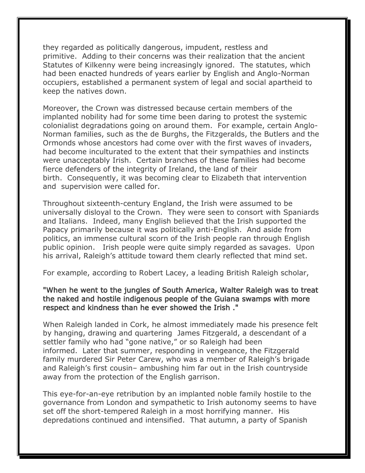they regarded as politically dangerous, impudent, restless and primitive. Adding to their concerns was their realization that the ancient Statutes of Kilkenny were being increasingly ignored. The statutes, which had been enacted hundreds of years earlier by English and Anglo-Norman occupiers, established a permanent system of legal and social apartheid to keep the natives down.

Moreover, the Crown was distressed because certain members of the implanted nobility had for some time been daring to protest the systemic colonialist degradations going on around them. For example, certain Anglo-Norman families, such as the de Burghs, the Fitzgeralds, the Butlers and the Ormonds whose ancestors had come over with the first waves of invaders, had become inculturated to the extent that their sympathies and instincts were unacceptably Irish. Certain branches of these families had become fierce defenders of the integrity of Ireland, the land of their birth. Consequently, it was becoming clear to Elizabeth that intervention and supervision were called for.

Throughout sixteenth-century England, the Irish were assumed to be universally disloyal to the Crown. They were seen to consort with Spaniards and Italians. Indeed, many English believed that the Irish supported the Papacy primarily because it was politically anti-English. And aside from politics, an immense cultural scorn of the Irish people ran through English public opinion. Irish people were quite simply regarded as savages. Upon his arrival, Raleigh's attitude toward them clearly reflected that mind set.

For example, according to Robert Lacey, a leading British Raleigh scholar,

## "When he went to the jungles of South America, Walter Raleigh was to treat the naked and hostile indigenous people of the Guiana swamps with more respect and kindness than he ever showed the Irish ."

When Raleigh landed in Cork, he almost immediately made his presence felt by hanging, drawing and quartering James Fitzgerald, a descendant of a settler family who had "gone native," or so Raleigh had been informed. Later that summer, responding in vengeance, the Fitzgerald family murdered Sir Peter Carew, who was a member of Raleigh's brigade and Raleigh's first cousin– ambushing him far out in the Irish countryside away from the protection of the English garrison.

This eye-for-an-eye retribution by an implanted noble family hostile to the governance from London and sympathetic to Irish autonomy seems to have set off the short-tempered Raleigh in a most horrifying manner. His depredations continued and intensified. That autumn, a party of Spanish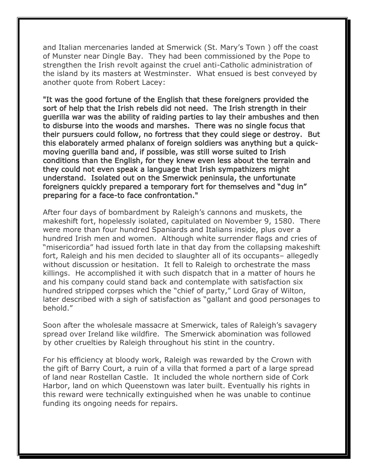and Italian mercenaries landed at Smerwick (St. Mary's Town ) off the coast of Munster near Dingle Bay. They had been commissioned by the Pope to strengthen the Irish revolt against the cruel anti-Catholic administration of the island by its masters at Westminster. What ensued is best conveyed by another quote from Robert Lacey:

"It was the good fortune of the English that these foreigners provided the sort of help that the Irish rebels did not need. The Irish strength in their guerilla war was the ability of raiding parties to lay their ambushes and then to disburse into the woods and marshes. There was no single focus that their pursuers could follow, no fortress that they could siege or destroy. But this elaborately armed phalanx of foreign soldiers was anything but a quickmoving guerilla band and, if possible, was still worse suited to Irish conditions than the English, for they knew even less about the terrain and they could not even speak a language that Irish sympathizers might understand. Isolated out on the Smerwick peninsula, the unfortunate foreigners quickly prepared a temporary fort for themselves and "dug in" preparing for a face-to face confrontation."

After four days of bombardment by Raleigh's cannons and muskets, the makeshift fort, hopelessly isolated, capitulated on November 9, 1580. There were more than four hundred Spaniards and Italians inside, plus over a hundred Irish men and women. Although white surrender flags and cries of "misericordia" had issued forth late in that day from the collapsing makeshift fort, Raleigh and his men decided to slaughter all of its occupants– allegedly without discussion or hesitation. It fell to Raleigh to orchestrate the mass killings. He accomplished it with such dispatch that in a matter of hours he and his company could stand back and contemplate with satisfaction six hundred stripped corpses which the "chief of party," Lord Gray of Wilton, later described with a sigh of satisfaction as "gallant and good personages to behold."

Soon after the wholesale massacre at Smerwick, tales of Raleigh's savagery spread over Ireland like wildfire. The Smerwick abomination was followed by other cruelties by Raleigh throughout his stint in the country.

For his efficiency at bloody work, Raleigh was rewarded by the Crown with the gift of Barry Court, a ruin of a villa that formed a part of a large spread of land near Rostellan Castle. It included the whole northern side of Cork Harbor, land on which Queenstown was later built. Eventually his rights in this reward were technically extinguished when he was unable to continue funding its ongoing needs for repairs.